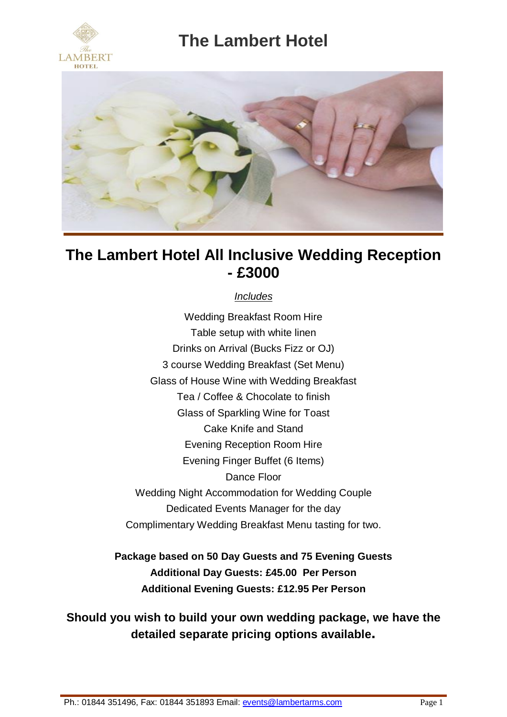



### **The Lambert Hotel All Inclusive Wedding Reception - £3000**

### *Includes*

Wedding Breakfast Room Hire Table setup with white linen Drinks on Arrival (Bucks Fizz or OJ) 3 course Wedding Breakfast (Set Menu) Glass of House Wine with Wedding Breakfast Tea / Coffee & Chocolate to finish Glass of Sparkling Wine for Toast Cake Knife and Stand Evening Reception Room Hire Evening Finger Buffet (6 Items) Dance Floor Wedding Night Accommodation for Wedding Couple Dedicated Events Manager for the day Complimentary Wedding Breakfast Menu tasting for two.

**Package based on 50 Day Guests and 75 Evening Guests Additional Day Guests: £45.00 Per Person Additional Evening Guests: £12.95 Per Person**

**Should you wish to build your own wedding package, we have the detailed separate pricing options available.**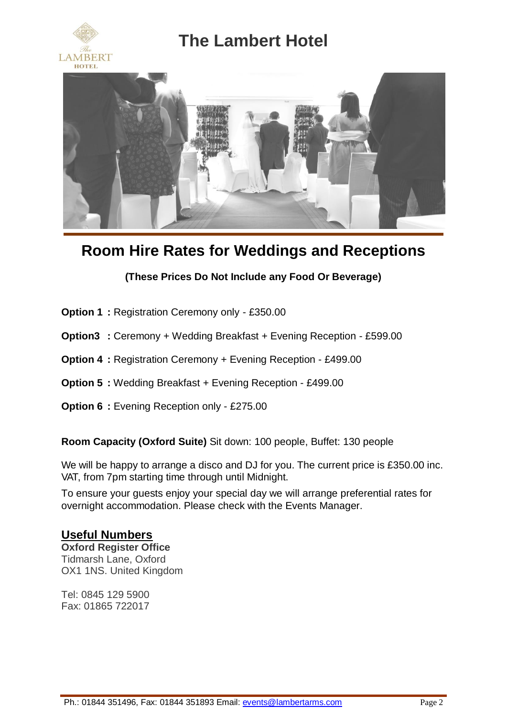





## **Room Hire Rates for Weddings and Receptions**

### **(These Prices Do Not Include any Food Or Beverage)**

- **Option 1 :** Registration Ceremony only £350.00
- **Option3 :** Ceremony + Wedding Breakfast + Evening Reception £599.00
- **Option 4 :** Registration Ceremony + Evening Reception £499.00
- **Option 5 :** Wedding Breakfast + Evening Reception £499.00
- **Option 6 :** Evening Reception only £275.00

**Room Capacity (Oxford Suite)** Sit down: 100 people, Buffet: 130 people

We will be happy to arrange a disco and DJ for you. The current price is £350.00 inc. VAT, from 7pm starting time through until Midnight.

To ensure your guests enjoy your special day we will arrange preferential rates for overnight accommodation. Please check with the Events Manager.

### **Useful Numbers**

**Oxford Register Office** Tidmarsh Lane, Oxford OX1 1NS. United Kingdom

Tel: 0845 129 5900 Fax: 01865 722017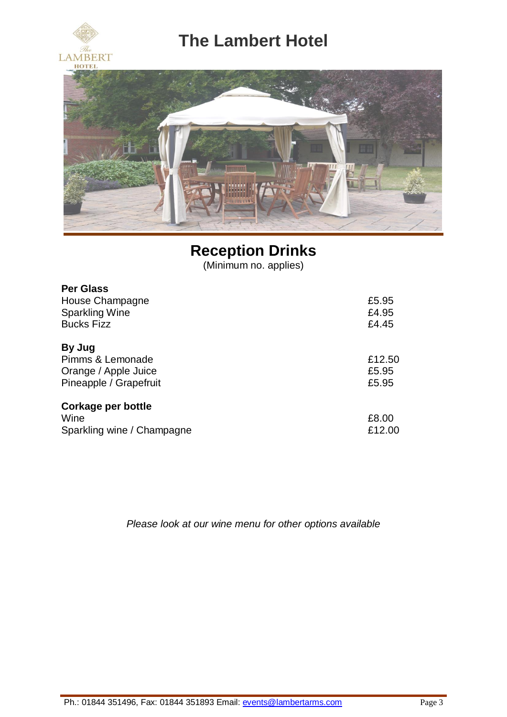



# **Reception Drinks**

(Minimum no. applies)

| <b>Per Glass</b>           |        |
|----------------------------|--------|
| House Champagne            | £5.95  |
| <b>Sparkling Wine</b>      | £4.95  |
| <b>Bucks Fizz</b>          | £4.45  |
| By Jug                     |        |
| Pimms & Lemonade           | £12.50 |
| Orange / Apple Juice       | £5.95  |
| Pineapple / Grapefruit     | £5.95  |
| Corkage per bottle         |        |
| Wine                       | £8.00  |
| Sparkling wine / Champagne | £12.00 |

*Please look at our wine menu for other options available*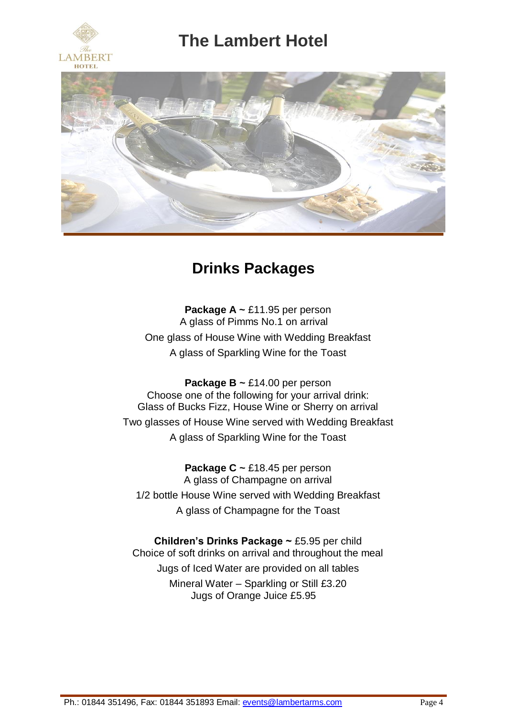





## **Drinks Packages**

**Package A ~** £11.95 per person A glass of Pimms No.1 on arrival One glass of House Wine with Wedding Breakfast A glass of Sparkling Wine for the Toast

**Package B ~** £14.00 per person Choose one of the following for your arrival drink: Glass of Bucks Fizz, House Wine or Sherry on arrival Two glasses of House Wine served with Wedding Breakfast A glass of Sparkling Wine for the Toast

**Package C ~** £18.45 per person A glass of Champagne on arrival 1/2 bottle House Wine served with Wedding Breakfast A glass of Champagne for the Toast

**Children's Drinks Package ~** £5.95 per child Choice of soft drinks on arrival and throughout the meal Jugs of Iced Water are provided on all tables Mineral Water – Sparkling or Still £3.20 Jugs of Orange Juice £5.95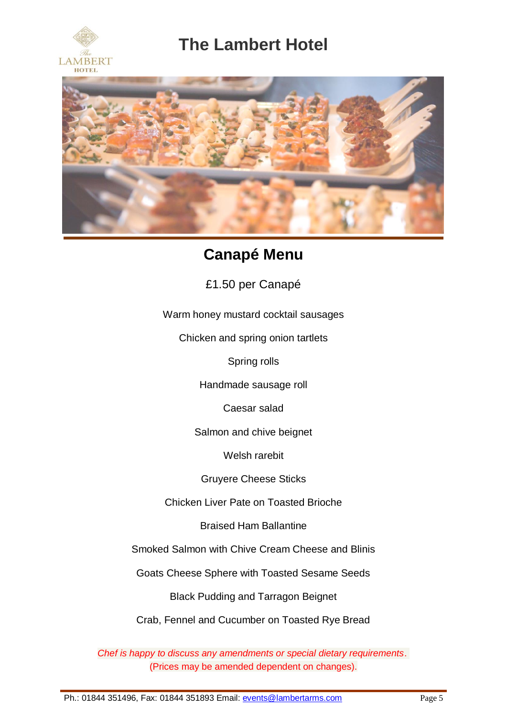



## **Canapé Menu**

£1.50 per Canapé

Warm honey mustard cocktail sausages

Chicken and spring onion tartlets

Spring rolls

Handmade sausage roll

Caesar salad

Salmon and chive beignet

Welsh rarebit

Gruyere Cheese Sticks

Chicken Liver Pate on Toasted Brioche

Braised Ham Ballantine

Smoked Salmon with Chive Cream Cheese and Blinis

Goats Cheese Sphere with Toasted Sesame Seeds

Black Pudding and Tarragon Beignet

Crab, Fennel and Cucumber on Toasted Rye Bread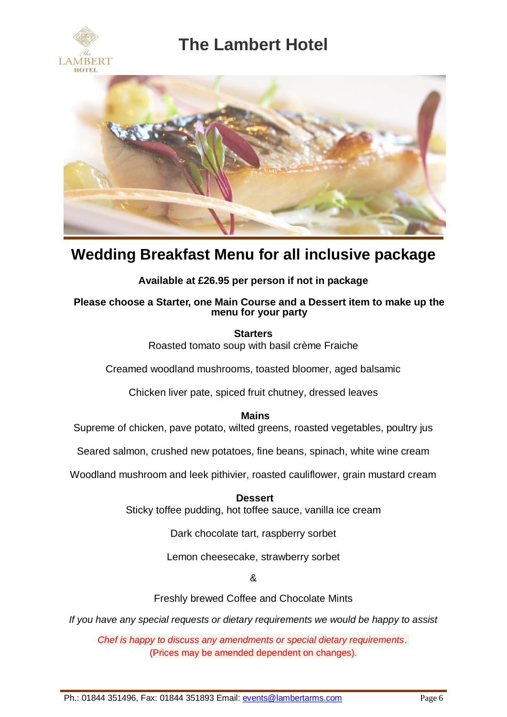





### **Wedding Breakfast Menu for all inclusive package**

### **Available at £26.95 per person if not in package**

#### **Please choose a Starter, one Main Course and a Dessert item to make up the menu for your party**

**Starters** Roasted tomato soup with basil crème Fraiche

Creamed woodland mushrooms, toasted bloomer, aged balsamic

Chicken liver pate, spiced fruit chutney, dressed leaves

**Mains**

Supreme of chicken, pave potato, wilted greens, roasted vegetables, poultry jus

Seared salmon, crushed new potatoes, fine beans, spinach, white wine cream

Woodland mushroom and leek pithivier, roasted cauliflower, grain mustard cream

**Dessert** Sticky toffee pudding, hot toffee sauce, vanilla ice cream

Dark chocolate tart, raspberry sorbet

Lemon cheesecake, strawberry sorbet

&

Freshly brewed Coffee and Chocolate Mints

*If you have any special requests or dietary requirements we would be happy to assist*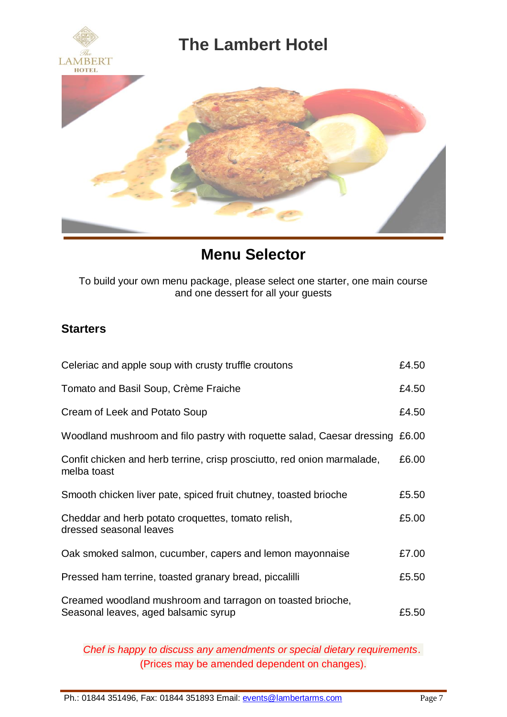

## **Menu Selector**

To build your own menu package, please select one starter, one main course and one dessert for all your guests

### **Starters**

| Celeriac and apple soup with crusty truffle croutons                                               | £4.50 |
|----------------------------------------------------------------------------------------------------|-------|
| Tomato and Basil Soup, Crème Fraiche                                                               | £4.50 |
| Cream of Leek and Potato Soup                                                                      | £4.50 |
| Woodland mushroom and filo pastry with roquette salad, Caesar dressing £6.00                       |       |
| Confit chicken and herb terrine, crisp prosciutto, red onion marmalade,<br>melba toast             | £6.00 |
| Smooth chicken liver pate, spiced fruit chutney, toasted brioche                                   | £5.50 |
| Cheddar and herb potato croquettes, tomato relish,<br>dressed seasonal leaves                      | £5.00 |
| Oak smoked salmon, cucumber, capers and lemon mayonnaise                                           | £7.00 |
| Pressed ham terrine, toasted granary bread, piccalilli                                             | £5.50 |
| Creamed woodland mushroom and tarragon on toasted brioche,<br>Seasonal leaves, aged balsamic syrup | £5.50 |

*Chef is happy to discuss any amendments or special dietary requirements*. (Prices may be amended dependent on changes).

Ph.: 01844 351496, Fax: 01844 351893 Email[: events@lambertarms.com](mailto:events@lambertarms.com) Page 7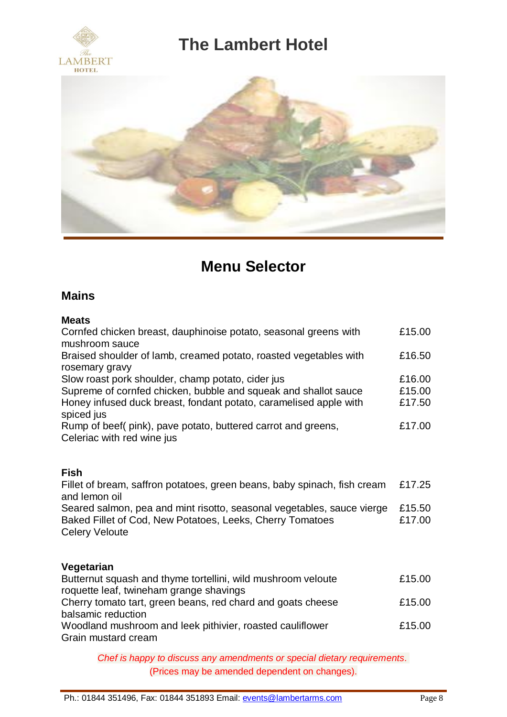



# **Menu Selector**

### **Mains**

#### **Meats**

| Cornfed chicken breast, dauphinoise potato, seasonal greens with<br>mushroom sauce          | £15.00 |
|---------------------------------------------------------------------------------------------|--------|
| Braised shoulder of lamb, creamed potato, roasted vegetables with                           | £16.50 |
| rosemary gravy                                                                              |        |
| Slow roast pork shoulder, champ potato, cider jus                                           | £16.00 |
| Supreme of cornfed chicken, bubble and squeak and shallot sauce                             | £15.00 |
| Honey infused duck breast, fondant potato, caramelised apple with<br>spiced jus             | £17.50 |
| Rump of beef (pink), pave potato, buttered carrot and greens,<br>Celeriac with red wine jus | £17.00 |
|                                                                                             |        |

### **Fish**

Fillet of bream, saffron potatoes, green beans, baby spinach, fish cream £17.25 and lemon oil Seared salmon, pea and mint risotto, seasonal vegetables, sauce vierge £15.50 Baked Fillet of Cod, New Potatoes, Leeks, Cherry Tomatoes **E**17.00 Celery Veloute

### **Vegetarian**

| Butternut squash and thyme tortellini, wild mushroom veloute | £15.00 |
|--------------------------------------------------------------|--------|
| roquette leaf, twineham grange shavings                      |        |
| Cherry tomato tart, green beans, red chard and goats cheese  | £15.00 |
| balsamic reduction                                           |        |
| Woodland mushroom and leek pithivier, roasted cauliflower    | £15.00 |
| Grain mustard cream                                          |        |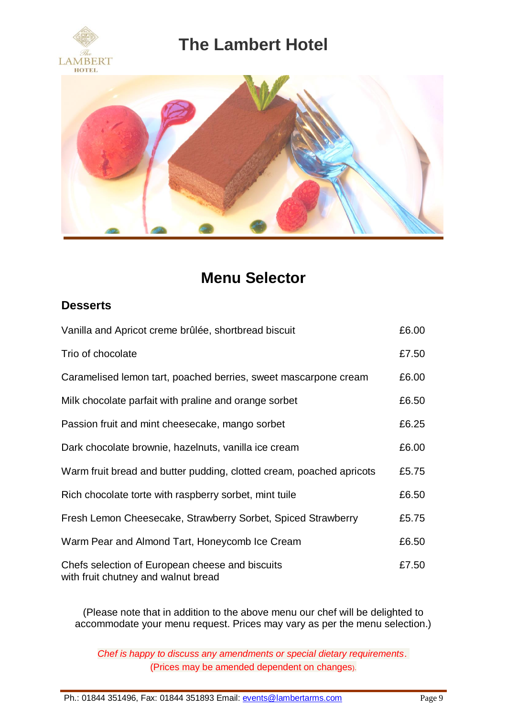



## **Menu Selector**

### **Desserts**

| Vanilla and Apricot creme brûlée, shortbread biscuit                                   | £6.00 |
|----------------------------------------------------------------------------------------|-------|
| Trio of chocolate                                                                      | £7.50 |
| Caramelised lemon tart, poached berries, sweet mascarpone cream                        | £6.00 |
| Milk chocolate parfait with praline and orange sorbet                                  | £6.50 |
| Passion fruit and mint cheesecake, mango sorbet                                        | £6.25 |
| Dark chocolate brownie, hazelnuts, vanilla ice cream                                   | £6.00 |
| Warm fruit bread and butter pudding, clotted cream, poached apricots                   | £5.75 |
| Rich chocolate torte with raspberry sorbet, mint tuile                                 | £6.50 |
| Fresh Lemon Cheesecake, Strawberry Sorbet, Spiced Strawberry                           | £5.75 |
| Warm Pear and Almond Tart, Honeycomb Ice Cream                                         | £6.50 |
| Chefs selection of European cheese and biscuits<br>with fruit chutney and walnut bread | £7.50 |

(Please note that in addition to the above menu our chef will be delighted to accommodate your menu request. Prices may vary as per the menu selection.)

*Chef is happy to discuss any amendments or special dietary requirements*. (Prices may be amended dependent on changes).

Ph.: 01844 351496, Fax: 01844 351893 Email[: events@lambertarms.com](mailto:events@lambertarms.com) Page 9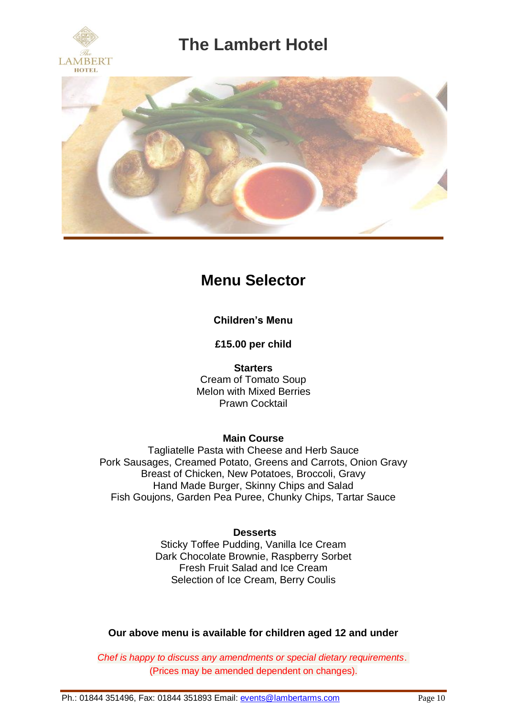



## **Menu Selector**

**Children's Menu**

**£15.00 per child**

**Starters** Cream of Tomato Soup Melon with Mixed Berries Prawn Cocktail

### **Main Course**

Tagliatelle Pasta with Cheese and Herb Sauce Pork Sausages, Creamed Potato, Greens and Carrots, Onion Gravy Breast of Chicken, New Potatoes, Broccoli, Gravy Hand Made Burger, Skinny Chips and Salad Fish Goujons, Garden Pea Puree, Chunky Chips, Tartar Sauce

### **Desserts**

Sticky Toffee Pudding, Vanilla Ice Cream Dark Chocolate Brownie, Raspberry Sorbet Fresh Fruit Salad and Ice Cream Selection of Ice Cream, Berry Coulis

**Our above menu is available for children aged 12 and under**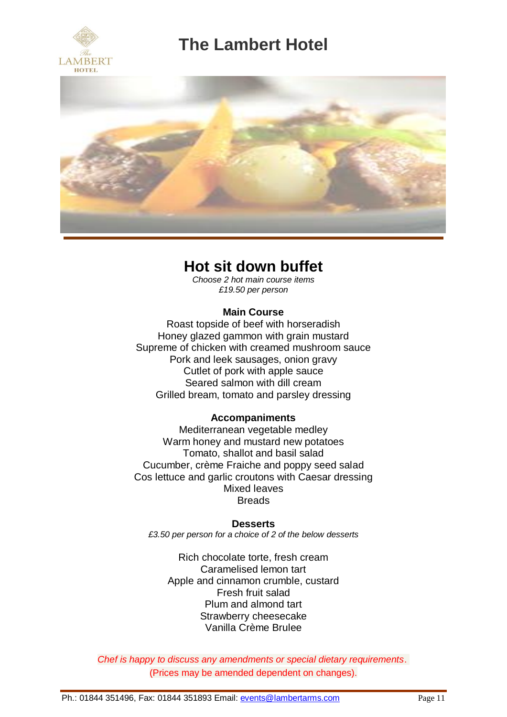



### **Hot sit down buffet**

*Choose 2 hot main course items £19.50 per person*

### **Main Course**

Roast topside of beef with horseradish Honey glazed gammon with grain mustard Supreme of chicken with creamed mushroom sauce Pork and leek sausages, onion gravy Cutlet of pork with apple sauce Seared salmon with dill cream Grilled bream, tomato and parsley dressing

#### **Accompaniments**

Mediterranean vegetable medley Warm honey and mustard new potatoes Tomato, shallot and basil salad Cucumber, crème Fraiche and poppy seed salad Cos lettuce and garlic croutons with Caesar dressing Mixed leaves **Breads** 

#### **Desserts**

*£3.50 per person for a choice of 2 of the below desserts*

Rich chocolate torte, fresh cream Caramelised lemon tart Apple and cinnamon crumble, custard Fresh fruit salad Plum and almond tart Strawberry cheesecake Vanilla Crème Brulee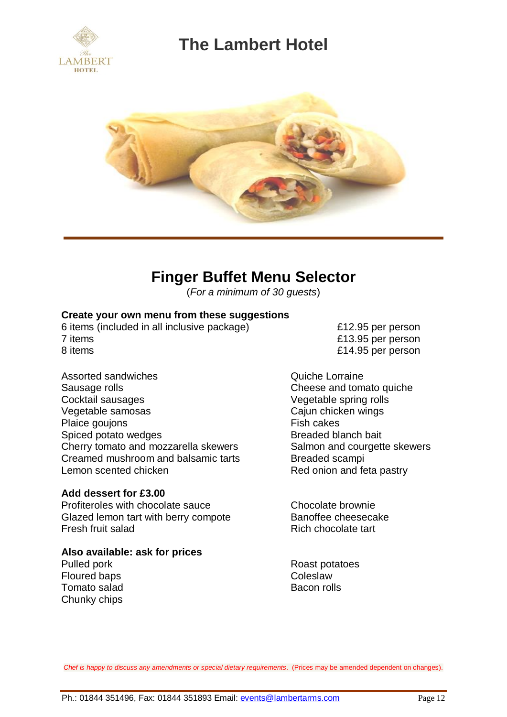



## **Finger Buffet Menu Selector**

(*For a minimum of 30 guests*)

#### **Create your own menu from these suggestions**

6 items (included in all inclusive package) £12.95 per person 7 items £13.95 per person 8 items **8 items 8 items 6 14.95** per person

- 
- Assorted sandwiches **Assorted Sandwiches Quiche Lorraine** Sausage rolls **Cheese and tomato quiche** Cocktail sausages Vegetable spring rolls Vegetable samosas Cajun chicken wings Plaice goujons<br>
Spiced potato wedges<br>
Spiced potato wedges<br>
The Management of the Breaded blanch bait Spiced potato wedges Cherry tomato and mozzarella skewers Salmon and courgette skewers Creamed mushroom and balsamic tarts **Breaded scampi** Lemon scented chicken **Red** onion and feta pastry

#### **Add dessert for £3.00**

Profiteroles with chocolate sauce Chocolate brownie Glazed lemon tart with berry compote Banoffee cheesecake Fresh fruit salad Rich chocolate tart

#### **Also available: ask for prices**

Floured baps Tomato salad and Bacon rolls Chunky chips

Pulled pork<br>
Floured bans<br>
Roast potatoes<br>
Coleslaw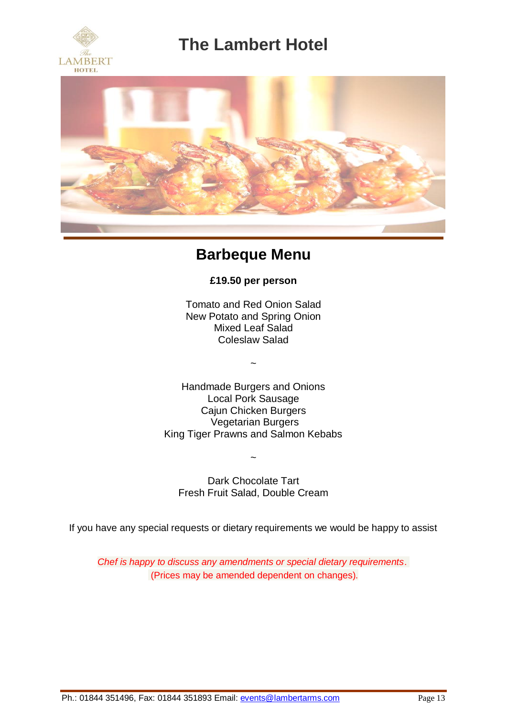



## **Barbeque Menu**

**£19.50 per person**

Tomato and Red Onion Salad New Potato and Spring Onion Mixed Leaf Salad Coleslaw Salad

~

Handmade Burgers and Onions Local Pork Sausage Cajun Chicken Burgers Vegetarian Burgers King Tiger Prawns and Salmon Kebabs

Dark Chocolate Tart Fresh Fruit Salad, Double Cream

~

If you have any special requests or dietary requirements we would be happy to assist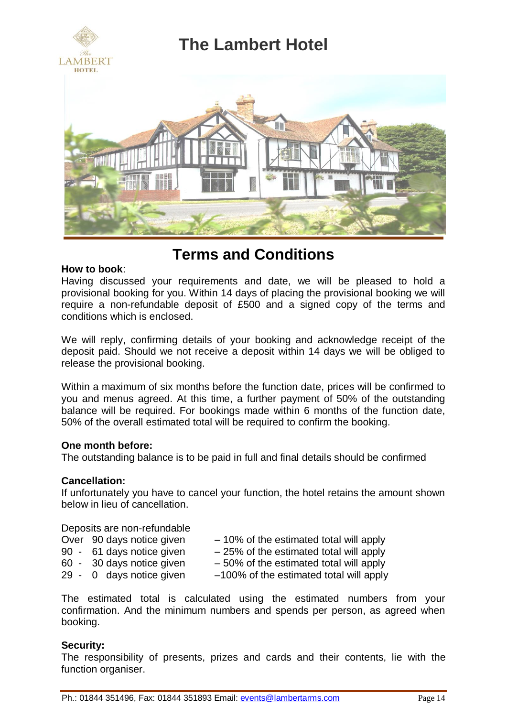

### **Terms and Conditions**

#### **How to book**:

Having discussed your requirements and date, we will be pleased to hold a provisional booking for you. Within 14 days of placing the provisional booking we will require a non-refundable deposit of £500 and a signed copy of the terms and conditions which is enclosed.

We will reply, confirming details of your booking and acknowledge receipt of the deposit paid. Should we not receive a deposit within 14 days we will be obliged to release the provisional booking.

Within a maximum of six months before the function date, prices will be confirmed to you and menus agreed. At this time, a further payment of 50% of the outstanding balance will be required. For bookings made within 6 months of the function date, 50% of the overall estimated total will be required to confirm the booking.

#### **One month before:**

The outstanding balance is to be paid in full and final details should be confirmed

#### **Cancellation:**

If unfortunately you have to cancel your function, the hotel retains the amount shown below in lieu of cancellation.

#### Deposits are non-refundable

| Over 90 days notice given | $-10\%$ of the estimated total will apply |
|---------------------------|-------------------------------------------|
| 90 - 61 days notice given | $-25\%$ of the estimated total will apply |
| 60 - 30 days notice given | $-50\%$ of the estimated total will apply |
| 29 - 0 days notice given  | -100% of the estimated total will apply   |
|                           |                                           |

The estimated total is calculated using the estimated numbers from your confirmation. And the minimum numbers and spends per person, as agreed when booking.

#### **Security:**

The responsibility of presents, prizes and cards and their contents, lie with the function organiser.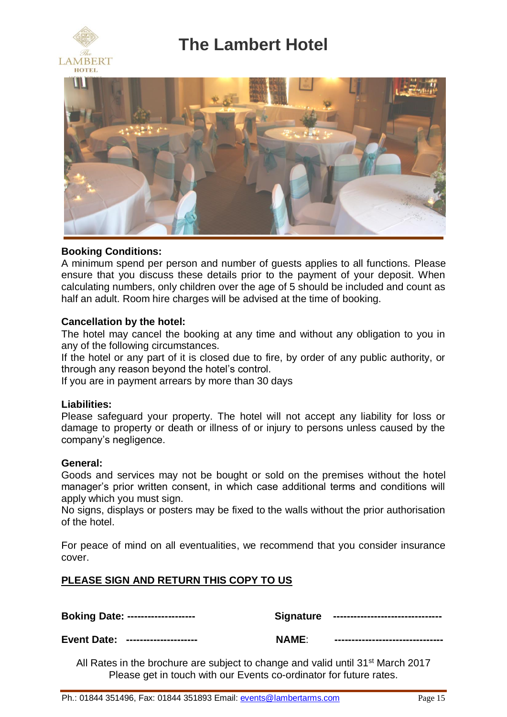





#### **Booking Conditions:**

A minimum spend per person and number of guests applies to all functions. Please ensure that you discuss these details prior to the payment of your deposit. When calculating numbers, only children over the age of 5 should be included and count as half an adult. Room hire charges will be advised at the time of booking.

#### **Cancellation by the hotel:**

The hotel may cancel the booking at any time and without any obligation to you in any of the following circumstances.

If the hotel or any part of it is closed due to fire, by order of any public authority, or through any reason beyond the hotel's control.

If you are in payment arrears by more than 30 days

#### **Liabilities:**

Please safeguard your property. The hotel will not accept any liability for loss or damage to property or death or illness of or injury to persons unless caused by the company's negligence.

#### **General:**

Goods and services may not be bought or sold on the premises without the hotel manager's prior written consent, in which case additional terms and conditions will apply which you must sign.

No signs, displays or posters may be fixed to the walls without the prior authorisation of the hotel.

For peace of mind on all eventualities, we recommend that you consider insurance cover.

### **PLEASE SIGN AND RETURN THIS COPY TO US**

**Boking Date: -------------------- Signature --------------------------------**

**Event Date: --------------------- NAME**: **--------------------------------** 

All Rates in the brochure are subject to change and valid until 31st March 2017 Please get in touch with our Events co-ordinator for future rates.